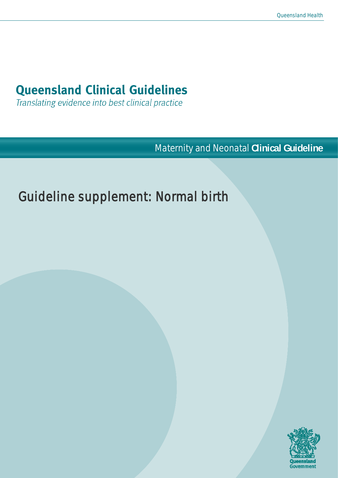# **Queensland Clinical Guidelines**

Translating evidence into best clinical practice

Maternity and Neonatal **Clinical Guideline**

# Guideline supplement: Normal birth

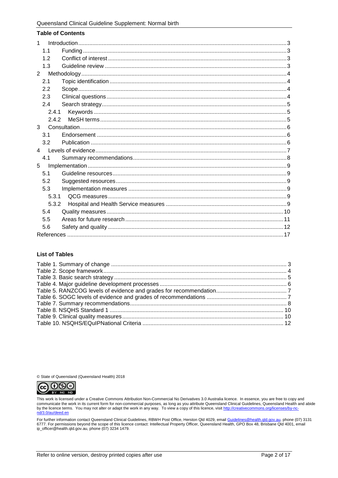| <b>Table of Contents</b> |
|--------------------------|
| $\mathbf{1}$             |
| 1.1                      |
| 1.2                      |
| 1.3                      |
| $\overline{2}$           |
| 2.1                      |
| 2.2                      |
| 2.3                      |
| 2.4                      |
| 2.4.1                    |
| 2.4.2                    |
| 3                        |
| 3.1                      |
| 3.2                      |
| $\overline{4}$           |
| 4.1                      |
| 5                        |
| 5.1                      |
| 5.2                      |
| 5.3                      |
| 5.3.1                    |
| 5.3.2                    |
| 5.4                      |
| 5.5                      |
| 5.6                      |
|                          |

#### **List of Tables**

© State of Queensland (Queensland Health) 2018



This work is licensed under a Creative Commons Attribution Non-Commercial No Derivatives 3.0 Australia licence. In essence, you are free to copy and<br>communicate the work in its current form for non-commercial purposes, as nd/3.0/au/deed.en

For further information contact Queensland Clinical Guidelines, RBWH Post Office, Herston Qld 4029, email <u>Guidelines@health.qld.gov.au,</u> phone (07) 3131<br>6777. For permissions beyond the scope of this licence contact: Inte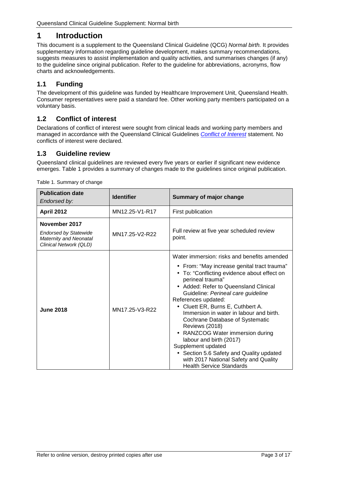# <span id="page-2-0"></span>**1 Introduction**

This document is a supplement to the Queensland Clinical Guideline (QCG) *Normal birth.* It provides supplementary information regarding guideline development, makes summary recommendations, suggests measures to assist implementation and quality activities, and summarises changes (if any) to the guideline since original publication. Refer to the guideline for abbreviations, acronyms, flow charts and acknowledgements.

### <span id="page-2-1"></span>**1.1 Funding**

The development of this guideline was funded by Healthcare Improvement Unit, Queensland Health. Consumer representatives were paid a standard fee. Other working party members participated on a voluntary basis.

#### <span id="page-2-2"></span>**1.2 Conflict of interest**

Declarations of conflict of interest were sought from clinical leads and working party members and managed in accordance with the Queensland Clinical Guidelines *[Conflict of Interest](https://www.health.qld.gov.au/qcg/development#coi)* statement. No conflicts of interest were declared.

#### <span id="page-2-3"></span>**1.3 Guideline review**

Queensland clinical guidelines are reviewed every five years or earlier if significant new evidence emerges. [Table 1](#page-2-4) provides a summary of changes made to the guidelines since original publication.

| <b>Publication date</b><br>Endorsed by:                                                                  | <b>Identifier</b> | <b>Summary of major change</b>                                                                                                                                                                                                                                                                                                                                                                                                                                                                                                                                                                                                     |  |
|----------------------------------------------------------------------------------------------------------|-------------------|------------------------------------------------------------------------------------------------------------------------------------------------------------------------------------------------------------------------------------------------------------------------------------------------------------------------------------------------------------------------------------------------------------------------------------------------------------------------------------------------------------------------------------------------------------------------------------------------------------------------------------|--|
| <b>April 2012</b>                                                                                        | MN12.25-V1-R17    | First publication                                                                                                                                                                                                                                                                                                                                                                                                                                                                                                                                                                                                                  |  |
| November 2017<br><b>Endorsed by Statewide</b><br><b>Maternity and Neonatal</b><br>Clinical Network (QLD) | MN17.25-V2-R22    | Full review at five year scheduled review<br>point.                                                                                                                                                                                                                                                                                                                                                                                                                                                                                                                                                                                |  |
| <b>June 2018</b>                                                                                         | MN17.25-V3-R22    | Water immersion: risks and benefits amended<br>From: "May increase genital tract trauma"<br>$\blacksquare$<br>To: "Conflicting evidence about effect on<br>perineal trauma"<br>Added: Refer to Queensland Clinical<br>Guideline: Perineal care guideline<br>References updated:<br>Cluett ER, Burns E, Cuthbert A.<br>Immersion in water in labour and birth.<br>Cochrane Database of Systematic<br><b>Reviews (2018)</b><br>RANZCOG Water immersion during<br>labour and birth (2017)<br>Supplement updated<br>Section 5.6 Safety and Quality updated<br>with 2017 National Safety and Quality<br><b>Health Service Standards</b> |  |

<span id="page-2-4"></span>Table 1. Summary of change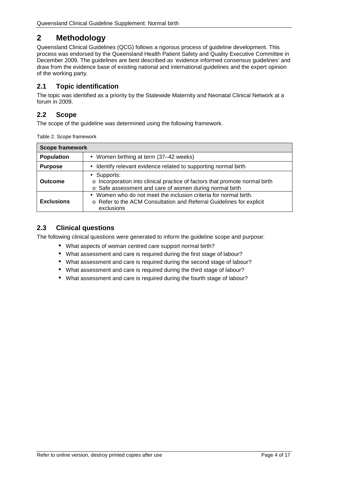# <span id="page-3-0"></span>**2 Methodology**

Queensland Clinical Guidelines (QCG) follows a rigorous process of guideline development. This process was endorsed by the Queensland Health Patient Safety and Quality Executive Committee in December 2009. The guidelines are best described as 'evidence informed consensus guidelines' and draw from the evidence base of existing national and international guidelines and the expert opinion of the working party.

#### <span id="page-3-1"></span>**2.1 Topic identification**

The topic was identified as a priority by the Statewide Maternity and Neonatal Clinical Network at a forum in 2009.

### <span id="page-3-2"></span>**2.2 Scope**

<span id="page-3-4"></span>The scope of the guideline was determined using the following framework.

| <b>Scope framework</b> |                                                                                                                                                      |  |  |  |
|------------------------|------------------------------------------------------------------------------------------------------------------------------------------------------|--|--|--|
| <b>Population</b>      | Women birthing at term (37-42 weeks)                                                                                                                 |  |  |  |
| <b>Purpose</b>         | Identify relevant evidence related to supporting normal birth                                                                                        |  |  |  |
| <b>Outcome</b>         | Supports:<br>o Incorporation into clinical practice of factors that promote normal birth<br>o Safe assessment and care of women during normal birth  |  |  |  |
| <b>Exclusions</b>      | Women who do not meet the inclusion criteria for normal birth.<br>o Refer to the ACM Consultation and Referral Guidelines for explicit<br>exclusions |  |  |  |

#### <span id="page-3-3"></span>**2.3 Clinical questions**

The following clinical questions were generated to inform the guideline scope and purpose:

- What aspects of woman centred care support normal birth?
- What assessment and care is required during the first stage of labour?
- What assessment and care is required during the second stage of labour?
- What assessment and care is required during the third stage of labour?
- What assessment and care is required during the fourth stage of labour?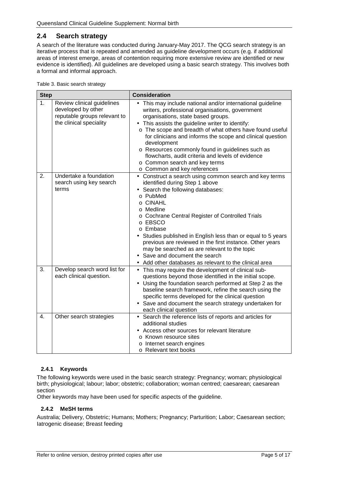#### <span id="page-4-0"></span>**2.4 Search strategy**

A search of the literature was conducted during January-May 2017. The QCG search strategy is an iterative process that is repeated and amended as guideline development occurs (e.g. if additional areas of interest emerge, areas of contention requiring more extensive review are identified or new evidence is identified). All guidelines are developed using a basic search strategy. This involves both a formal and informal approach.

<span id="page-4-3"></span>

| <b>Step</b>      |                                                                                                             | <b>Consideration</b>                                                                                                                                                                                                                                                                                                                                                                                                                                                                                                  |  |  |
|------------------|-------------------------------------------------------------------------------------------------------------|-----------------------------------------------------------------------------------------------------------------------------------------------------------------------------------------------------------------------------------------------------------------------------------------------------------------------------------------------------------------------------------------------------------------------------------------------------------------------------------------------------------------------|--|--|
| 1.               | Review clinical guidelines<br>developed by other<br>reputable groups relevant to<br>the clinical speciality | This may include national and/or international guideline<br>writers, professional organisations, government<br>organisations, state based groups.<br>This assists the guideline writer to identify:<br>o The scope and breadth of what others have found useful<br>for clinicians and informs the scope and clinical question<br>development<br>o Resources commonly found in guidelines such as<br>flowcharts, audit criteria and levels of evidence<br>o Common search and key terms<br>o Common and key references |  |  |
| 2.               | Undertake a foundation<br>search using key search<br>terms                                                  | Construct a search using common search and key terms<br>a.<br>identified during Step 1 above<br>Search the following databases:<br>o PubMed<br>o CINAHL<br>o Medline<br>o Cochrane Central Register of Controlled Trials<br>o EBSCO<br>o Embase<br>Studies published in English less than or equal to 5 years<br>previous are reviewed in the first instance. Other years<br>may be searched as are relevant to the topic<br>Save and document the search<br>Add other databases as relevant to the clinical area     |  |  |
| $\overline{3}$ . | Develop search word list for<br>each clinical question.                                                     | This may require the development of clinical sub-<br>questions beyond those identified in the initial scope.<br>Using the foundation search performed at Step 2 as the<br>baseline search framework, refine the search using the<br>specific terms developed for the clinical question<br>Save and document the search strategy undertaken for<br>each clinical question                                                                                                                                              |  |  |
| $\overline{4}$ . | Other search strategies                                                                                     | Search the reference lists of reports and articles for<br>additional studies<br>Access other sources for relevant literature<br>o Known resource sites<br>o Internet search engines<br>o Relevant text books                                                                                                                                                                                                                                                                                                          |  |  |

#### <span id="page-4-1"></span>**2.4.1 Keywords**

The following keywords were used in the basic search strategy: Pregnancy; woman; physiological birth; physiological; labour; labor; obstetric; collaboration; woman centred; caesarean; caesarean section

<span id="page-4-2"></span>Other keywords may have been used for specific aspects of the guideline.

#### **2.4.2 MeSH terms**

Australia; Delivery, Obstetric; Humans; Mothers; Pregnancy; Parturition; Labor; Caesarean section; Iatrogenic disease; Breast feeding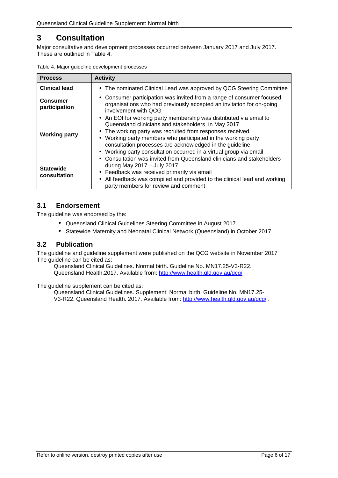# <span id="page-5-0"></span>**3 Consultation**

Major consultative and development processes occurred between January 2017 and July 2017. These are outlined in [Table 4.](#page-5-3)

| <b>Process</b>                   | <b>Activity</b>                                                                                                                                                                                                                                                                                                                                                                                                                        |  |
|----------------------------------|----------------------------------------------------------------------------------------------------------------------------------------------------------------------------------------------------------------------------------------------------------------------------------------------------------------------------------------------------------------------------------------------------------------------------------------|--|
| <b>Clinical lead</b>             | The nominated Clinical Lead was approved by QCG Steering Committee<br>٠.                                                                                                                                                                                                                                                                                                                                                               |  |
| <b>Consumer</b><br>participation | Consumer participation was invited from a range of consumer focused<br>٠<br>organisations who had previously accepted an invitation for on-going<br>involvement with QCG                                                                                                                                                                                                                                                               |  |
| <b>Working party</b>             | An EOI for working party membership was distributed via email to<br>Queensland clinicians and stakeholders in May 2017<br>The working party was recruited from responses received<br>$\blacksquare$<br>Working party members who participated in the working party<br>$\blacksquare$<br>consultation processes are acknowledged in the guideline<br>Working party consultation occurred in a virtual group via email<br>$\blacksquare$ |  |
| <b>Statewide</b><br>consultation | Consultation was invited from Queensland clinicians and stakeholders<br>$\blacksquare$<br>during May 2017 - July 2017<br>Feedback was received primarily via email<br>$\blacksquare$<br>All feedback was compiled and provided to the clinical lead and working<br>$\blacksquare$<br>party members for review and comment                                                                                                              |  |

<span id="page-5-3"></span>

|  |  | Table 4. Major guideline development processes |  |
|--|--|------------------------------------------------|--|
|--|--|------------------------------------------------|--|

#### <span id="page-5-1"></span>**3.1 Endorsement**

The guideline was endorsed by the:

- Queensland Clinical Guidelines Steering Committee in August 2017
- Statewide Maternity and Neonatal Clinical Network (Queensland) in October 2017  $\mathbf{r}$

#### <span id="page-5-2"></span>**3.2 Publication**

The guideline and guideline supplement were published on the QCG website in November 2017 The guideline can be cited as:

Queensland Clinical Guidelines. Normal birth. Guideline No. MN17.25-V3-R22. Queensland Health.2017. Available from:<http://www.health.qld.gov.au/qcg/>

The guideline supplement can be cited as:

Queensland Clinical Guidelines. Supplement: Normal birth. Guideline No. MN17.25 V3-R22. Queensland Health. 2017. Available from:<http://www.health.qld.gov.au/qcg/>.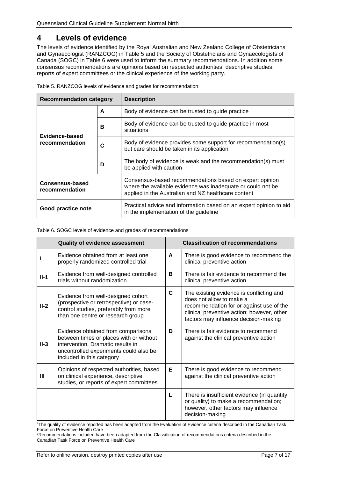# <span id="page-6-0"></span>**4 Levels of evidence**

The levels of evidence identified by the Royal Australian and New Zealand College of Obstetricians and Gynaecologist (RANZCOG) in [Table 5](#page-6-1) and the Society of Obstetricians and Gynaecologists of Canada (SOGC) in [Table 6](#page-6-2) were used to inform the summary recommendations. In addition some consensus recommendations are opinions based on respected authorities, descriptive studies, reports of expert committees or the clinical experience of the working party.

| <b>Recommendation category</b>    |   | <b>Description</b>                                                                                                                                                            |  |  |  |
|-----------------------------------|---|-------------------------------------------------------------------------------------------------------------------------------------------------------------------------------|--|--|--|
|                                   | A | Body of evidence can be trusted to guide practice                                                                                                                             |  |  |  |
| Evidence-based                    | В | Body of evidence can be trusted to guide practice in most<br>situations                                                                                                       |  |  |  |
| recommendation                    | C | Body of evidence provides some support for recommendation(s)<br>but care should be taken in its application                                                                   |  |  |  |
|                                   | D | The body of evidence is weak and the recommendation(s) must<br>be applied with caution                                                                                        |  |  |  |
| Consensus-based<br>recommendation |   | Consensus-based recommendations based on expert opinion<br>where the available evidence was inadequate or could not be<br>applied in the Australian and NZ healthcare content |  |  |  |
| Good practice note                |   | Practical advice and information based on an expert opinion to aid<br>in the implementation of the guideline                                                                  |  |  |  |

<span id="page-6-1"></span>Table 5. RANZCOG levels of evidence and grades for recommendation

#### <span id="page-6-2"></span>Table 6. SOGC levels of evidence and grades of recommendations

|        | <b>Quality of evidence assessment</b>                                                                                                                                                     | <b>Classification of recommendations</b> |                                                                                                                                                                                                         |
|--------|-------------------------------------------------------------------------------------------------------------------------------------------------------------------------------------------|------------------------------------------|---------------------------------------------------------------------------------------------------------------------------------------------------------------------------------------------------------|
|        | Evidence obtained from at least one<br>properly randomized controlled trial                                                                                                               | A                                        | There is good evidence to recommend the<br>clinical preventive action                                                                                                                                   |
| $II-1$ | Evidence from well-designed controlled<br>trials without randomization                                                                                                                    | в                                        | There is fair evidence to recommend the<br>clinical preventive action                                                                                                                                   |
| $II-2$ | Evidence from well-designed cohort<br>(prospective or retrospective) or case-<br>control studies, preferably from more<br>than one centre or research group                               | C                                        | The existing evidence is conflicting and<br>does not allow to make a<br>recommendation for or against use of the<br>clinical preventive action; however, other<br>factors may influence decision-making |
| $II-3$ | Evidence obtained from comparisons<br>between times or places with or without<br>intervention. Dramatic results in<br>uncontrolled experiments could also be<br>included in this category | D                                        | There is fair evidence to recommend<br>against the clinical preventive action                                                                                                                           |
| Ш      | Opinions of respected authorities, based<br>on clinical experience, descriptive<br>studies, or reports of expert committees                                                               | Е                                        | There is good evidence to recommend<br>against the clinical preventive action                                                                                                                           |
|        |                                                                                                                                                                                           | L                                        | There is insufficient evidence (in quantity<br>or quality) to make a recommendation;<br>however, other factors may influence<br>decision-making                                                         |

a The quality of evidence reported has been adapted from the Evaluation of Evidence criteria described in the Canadian Task Force on Preventive Health Care

<sup>b</sup>Recommendations included have been adapted from the Classification of recommendations criteria described in the Canadian Task Force on Preventive Health Care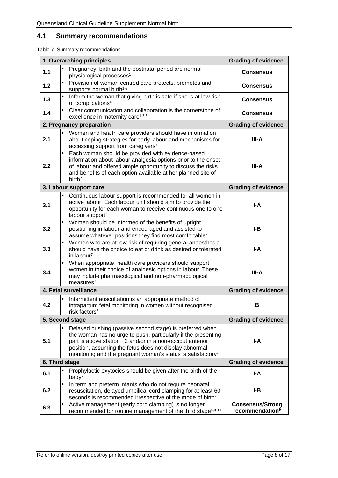# <span id="page-7-0"></span>**4.1 Summary recommendations**

<span id="page-7-1"></span>Table 7. Summary recommendations

|       | 1. Overarching principles                                                                                                                                                                                                                                                                                                   | <b>Grading of evidence</b>                             |
|-------|-----------------------------------------------------------------------------------------------------------------------------------------------------------------------------------------------------------------------------------------------------------------------------------------------------------------------------|--------------------------------------------------------|
| $1.1$ | Pregnancy, birth and the postnatal period are normal<br>physiological processes <sup>1</sup>                                                                                                                                                                                                                                | <b>Consensus</b>                                       |
| $1.2$ | Provision of woman centred care protects, promotes and<br>supports normal birth <sup>1-3</sup>                                                                                                                                                                                                                              | <b>Consensus</b>                                       |
| 1.3   | Inform the woman that giving birth is safe if she is at low risk<br>of complications <sup>4</sup>                                                                                                                                                                                                                           | <b>Consensus</b>                                       |
| 1.4   | Clear communication and collaboration is the cornerstone of<br>excellence in maternity care <sup>1,5,6</sup>                                                                                                                                                                                                                | <b>Consensus</b>                                       |
|       | 2. Pregnancy preparation                                                                                                                                                                                                                                                                                                    | <b>Grading of evidence</b>                             |
| 2.1   | Women and health care providers should have information<br>about coping strategies for early labour and mechanisms for<br>accessing support from caregivers <sup>7</sup>                                                                                                                                                    | III-A                                                  |
| 2.2   | Each woman should be provided with evidence-based<br>information about labour analgesia options prior to the onset<br>of labour and offered ample opportunity to discuss the risks<br>and benefits of each option available at her planned site of<br>birth <sup>7</sup>                                                    | III-A                                                  |
|       | 3. Labour support care                                                                                                                                                                                                                                                                                                      | <b>Grading of evidence</b>                             |
| 3.1   | Continuous labour support is recommended for all women in<br>active labour. Each labour unit should aim to provide the<br>opportunity for each woman to receive continuous one to one<br>labour support <sup>7</sup>                                                                                                        | $I - A$                                                |
| 3.2   | Women should be informed of the benefits of upright<br>positioning in labour and encouraged and assisted to<br>assume whatever positions they find most comfortable <sup>7</sup>                                                                                                                                            | I-B                                                    |
| 3.3   | Women who are at low risk of requiring general anaesthesia<br>should have the choice to eat or drink as desired or tolerated<br>in labour <sup>7</sup>                                                                                                                                                                      | I-A                                                    |
| 3.4   | When appropriate, health care providers should support<br>women in their choice of analgesic options in labour. These<br>may include pharmacological and non-pharmacological<br>measures <sup>7</sup>                                                                                                                       | III-A                                                  |
|       | 4. Fetal surveillance                                                                                                                                                                                                                                                                                                       | <b>Grading of evidence</b>                             |
| 4.2   | Intermittent auscultation is an appropriate method of<br>intrapartum fetal monitoring in women without recognised<br>risk factors <sup>8</sup>                                                                                                                                                                              | в                                                      |
|       | 5. Second stage                                                                                                                                                                                                                                                                                                             | <b>Grading of evidence</b>                             |
| 5.1   | Delayed pushing (passive second stage) is preferred when<br>the woman has no urge to push, particularly if the presenting<br>part is above station +2 and/or in a non-occiput anterior<br>position, assuming the fetus does not display abnormal<br>monitoring and the pregnant woman's status is satisfactory <sup>7</sup> | I-A                                                    |
|       | 6. Third stage                                                                                                                                                                                                                                                                                                              | <b>Grading of evidence</b>                             |
| 6.1   | Prophylactic oxytocics should be given after the birth of the<br>baby <sup>7</sup>                                                                                                                                                                                                                                          | I-A                                                    |
| 6.2   | In term and preterm infants who do not require neonatal<br>resuscitation, delayed umbilical cord clamping for at least 60<br>seconds is recommended irrespective of the mode of birth <sup>7</sup>                                                                                                                          | I-B                                                    |
| 6.3   | Active management (early cord clamping) is no longer<br>recommended for routine management of the third stage <sup>4,9-11</sup>                                                                                                                                                                                             | <b>Consensus/Strong</b><br>recommendation <sup>9</sup> |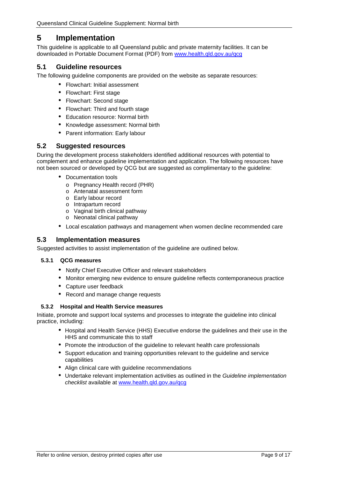# <span id="page-8-0"></span>**5 Implementation**

This guideline is applicable to all Queensland public and private maternity facilities. It can be downloaded in Portable Document Format (PDF) from [www.health.qld.gov.au/qcg](http://www.health.qld.gov.au/qcg)

#### <span id="page-8-1"></span>**5.1 Guideline resources**

The following guideline components are provided on the website as separate resources:

- Flowchart: Initial assessment
- Flowchart: First stage
- Flowchart: Second stage
- Flowchart: Third and fourth stage
- Education resource: Normal birth
- Knowledge assessment: Normal birth  $\sim$
- Parent information: Early labour

#### <span id="page-8-2"></span>**5.2 Suggested resources**

During the development process stakeholders identified additional resources with potential to complement and enhance guideline implementation and application. The following resources have not been sourced or developed by QCG but are suggested as complimentary to the guideline:

- Documentation tools
	- o Pregnancy Health record (PHR)
	- o Antenatal assessment form
	- o Early labour record
	- o Intrapartum record
	- o Vaginal birth clinical pathway
	- o Neonatal clinical pathway
- Local escalation pathways and management when women decline recommended care

#### <span id="page-8-3"></span>**5.3 Implementation measures**

<span id="page-8-4"></span>Suggested activities to assist implementation of the guideline are outlined below.

#### **5.3.1 QCG measures**

- Notify Chief Executive Officer and relevant stakeholders
- $\mathbf{r}$  . Monitor emerging new evidence to ensure guideline reflects contemporaneous practice
- Capture user feedback
- Record and manage change requests

#### <span id="page-8-5"></span>**5.3.2 Hospital and Health Service measures**

Initiate, promote and support local systems and processes to integrate the guideline into clinical practice, including:

- Hospital and Health Service (HHS) Executive endorse the guidelines and their use in the HHS and communicate this to staff
- Promote the introduction of the guideline to relevant health care professionals
- Support education and training opportunities relevant to the guideline and service capabilities
- Align clinical care with guideline recommendations
- Undertake relevant implementation activities as outlined in the *Guideline implementation checklist* available at [www.health.qld.gov.au/qcg](http://www.health.qld.gov.au/qcg)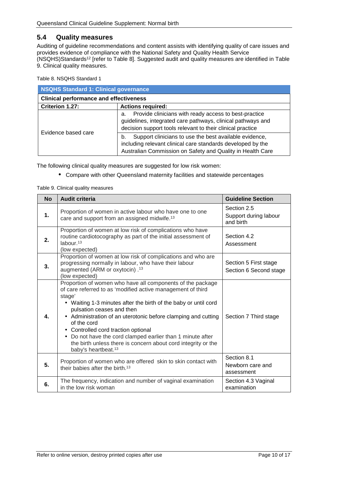#### <span id="page-9-0"></span>**5.4 Quality measures**

Auditing of guideline recommendations and content assists with identifying quality of care issues and provides evidence of compliance with the National Safety and Quality Health Service (NSQHS)Standards12 [refer to [Table 8\]](#page-9-1). Suggested audit and quality measures are identified in [Table](#page-9-2)  [9. Clinical quality measures.](#page-9-2)

<span id="page-9-1"></span>Table 8. NSQHS Standard 1

| NSQHS Standard 1: Clinical governance         |                                                                                                                                                                                           |  |  |
|-----------------------------------------------|-------------------------------------------------------------------------------------------------------------------------------------------------------------------------------------------|--|--|
| <b>Clinical performance and effectiveness</b> |                                                                                                                                                                                           |  |  |
| Criterion 1.27:                               | <b>Actions required:</b>                                                                                                                                                                  |  |  |
| Evidence based care                           | Provide clinicians with ready access to best-practice<br>a.<br>guidelines, integrated care pathways, clinical pathways and<br>decision support tools relevant to their clinical practice  |  |  |
|                                               | Support clinicians to use the best available evidence,<br>b.<br>including relevant clinical care standards developed by the<br>Australian Commission on Safety and Quality in Health Care |  |  |

The following clinical quality measures are suggested for low risk women:

Compare with other Queensland maternity facilities and statewide percentages

<span id="page-9-2"></span>

|  |  |  | Table 9. Clinical quality measures |
|--|--|--|------------------------------------|
|--|--|--|------------------------------------|

| <b>No</b> | <b>Audit criteria</b>                                                                                                                                                                                                                                                                                                                                                                                                                                                                                                  | <b>Guideline Section</b>                          |
|-----------|------------------------------------------------------------------------------------------------------------------------------------------------------------------------------------------------------------------------------------------------------------------------------------------------------------------------------------------------------------------------------------------------------------------------------------------------------------------------------------------------------------------------|---------------------------------------------------|
| 1.        | Proportion of women in active labour who have one to one<br>care and support from an assigned midwife. <sup>13</sup>                                                                                                                                                                                                                                                                                                                                                                                                   | Section 2.5<br>Support during labour<br>and birth |
| 2.        | Proportion of women at low risk of complications who have<br>routine cardiotocography as part of the initial assessment of<br>labour. $13$<br>(low expected)                                                                                                                                                                                                                                                                                                                                                           | Section 4.2<br>Assessment                         |
| 3.        | Proportion of women at low risk of complications and who are<br>progressing normally in labour, who have their labour<br>augmented (ARM or oxytocin) . <sup>13</sup><br>(low expected)                                                                                                                                                                                                                                                                                                                                 | Section 5 First stage<br>Section 6 Second stage   |
| 4.        | Proportion of women who have all components of the package<br>of care referred to as 'modified active management of third<br>stage'<br>. Waiting 1-3 minutes after the birth of the baby or until cord<br>pulsation ceases and then<br>Administration of an uterotonic before clamping and cutting<br>of the cord<br>Controlled cord traction optional<br>Do not have the cord clamped earlier than 1 minute after<br>the birth unless there is concern about cord integrity or the<br>baby's heartbeat. <sup>13</sup> | Section 7 Third stage                             |
| 5.        | Proportion of women who are offered skin to skin contact with<br>their babies after the birth. <sup>13</sup>                                                                                                                                                                                                                                                                                                                                                                                                           | Section 8.1<br>Newborn care and<br>assessment     |
| 6.        | The frequency, indication and number of vaginal examination<br>in the low risk woman                                                                                                                                                                                                                                                                                                                                                                                                                                   | Section 4.3 Vaginal<br>examination                |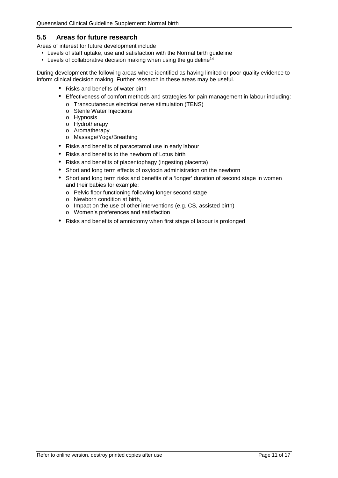#### <span id="page-10-0"></span>**5.5 Areas for future research**

Areas of interest for future development include

- Levels of staff uptake, use and satisfaction with the Normal birth guideline
- Levels of collaborative decision making when using the quideline<sup>14</sup>

During development the following areas where identified as having limited or poor quality evidence to inform clinical decision making. Further research in these areas may be useful.

- Risks and benefits of water birth
- Effectiveness of comfort methods and strategies for pain management in labour including:
	- o Transcutaneous electrical nerve stimulation (TENS)
	- o Sterile Water Injections
	- o Hypnosis
	- o Hydrotherapy
	- o Aromatherapy
	- o Massage/Yoga/Breathing
- Risks and benefits of paracetamol use in early labour
- Risks and benefits to the newborn of Lotus birth
- Risks and benefits of placentophagy (ingesting placenta)
- Short and long term effects of oxytocin administration on the newborn
- Short and long term risks and benefits of a 'longer' duration of second stage in women and their babies for example:
	- o Pelvic floor functioning following longer second stage
	- o Newborn condition at birth,
	- o Impact on the use of other interventions (e.g. CS, assisted birth)
	- o Women's preferences and satisfaction
- Risks and benefits of amniotomy when first stage of labour is prolonged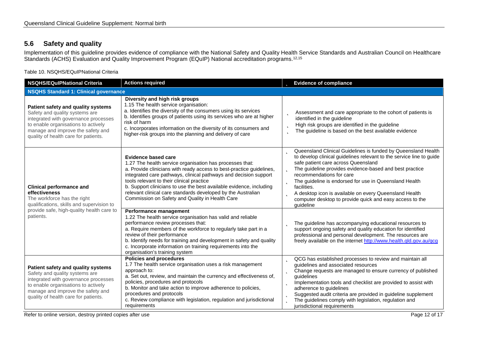# **5.6 Safety and quality**

Implementation of this guideline provides evidence of compliance with the National Safety and Quality Health Service Standards and Australian Council on Healthcare Standards (ACHS) Evaluation and Quality Improvement Program (EQuIP) National accreditation programs.<sup>12,15</sup>

Table 10. NSQHS/EQuIPNational Criteria

<span id="page-11-1"></span><span id="page-11-0"></span>

| <b>NSQHS/EQuIPNational Criteria</b>                                                                                                                                                                                              | <b>Actions required</b>                                                                                                                                                                                                                                                                                                                                                                                                                                                   | <b>b</b> Evidence of compliance                                                                                                                                                                                                                                                                                                                                                                                                                                                                        |
|----------------------------------------------------------------------------------------------------------------------------------------------------------------------------------------------------------------------------------|---------------------------------------------------------------------------------------------------------------------------------------------------------------------------------------------------------------------------------------------------------------------------------------------------------------------------------------------------------------------------------------------------------------------------------------------------------------------------|--------------------------------------------------------------------------------------------------------------------------------------------------------------------------------------------------------------------------------------------------------------------------------------------------------------------------------------------------------------------------------------------------------------------------------------------------------------------------------------------------------|
| <b>NSQHS Standard 1: Clinical governance</b>                                                                                                                                                                                     |                                                                                                                                                                                                                                                                                                                                                                                                                                                                           |                                                                                                                                                                                                                                                                                                                                                                                                                                                                                                        |
| Patient safety and quality systems<br>Safety and quality systems are<br>integrated with governance processes<br>to enable organisations to actively<br>manage and improve the safety and<br>quality of health care for patients. | Diversity and high risk groups<br>1.15 The health service organisation:<br>a. Identifies the diversity of the consumers using its services<br>b. Identifies groups of patients using its services who are at higher<br>risk of harm<br>c. Incorporates information on the diversity of its consumers and<br>higher-risk groups into the planning and delivery of care                                                                                                     | Assessment and care appropriate to the cohort of patients is<br>Þ<br>identified in the guideline<br>High risk groups are identified in the guideline<br>Þ<br>The guideline is based on the best available evidence<br>b                                                                                                                                                                                                                                                                                |
| <b>Clinical performance and</b><br>effectiveness<br>The workforce has the right<br>qualifications, skills and supervision to<br>provide safe, high-quality health care to<br>patients.                                           | <b>Evidence based care</b><br>1.27 The health service organisation has processes that:<br>a. Provide clinicians with ready access to best-practice guidelines,<br>integrated care pathways, clinical pathways and decision support<br>tools relevant to their clinical practice<br>b. Support clinicians to use the best available evidence, including<br>relevant clinical care standards developed by the Australian<br>Commission on Safety and Quality in Health Care | <b>D</b> Queensland Clinical Guidelines is funded by Queensland Health<br>to develop clinical guidelines relevant to the service line to guide<br>safe patient care across Queensland<br>The guideline provides evidence-based and best practice<br>þ<br>recommendations for care<br><b>D</b> The guideline is endorsed for use in Queensland Health<br>facilities.<br>A desktop icon is available on every Queensland Health<br>computer desktop to provide quick and easy access to the<br>guideline |
|                                                                                                                                                                                                                                  | Performance management<br>1.22 The health service organisation has valid and reliable<br>performance review processes that:<br>a. Require members of the workforce to regularly take part in a<br>review of their performance<br>b. Identify needs for training and development in safety and quality<br>c. Incorporate information on training requirements into the<br>organisation's training system                                                                   | The guideline has accompanying educational resources to<br>b<br>support ongoing safety and quality education for identified<br>professional and personal development. The resources are<br>freely available on the internet http://www.health.qld.gov.au/qcg                                                                                                                                                                                                                                           |
| Patient safety and quality systems<br>Safety and quality systems are<br>integrated with governance processes<br>to enable organisations to actively<br>manage and improve the safety and<br>quality of health care for patients. | <b>Policies and procedures</b><br>1.7 The health service organisation uses a risk management<br>approach to:<br>a. Set out, review, and maintain the currency and effectiveness of,<br>policies, procedures and protocols<br>b. Monitor and take action to improve adherence to policies,<br>procedures and protocols<br>c. Review compliance with legislation, regulation and jurisdictional<br>requirements                                                             | <b>D</b> QCG has established processes to review and maintain all<br>guidelines and associated resources<br><b>b</b> Change requests are managed to ensure currency of published<br>quidelines<br>Implementation tools and checklist are provided to assist with<br>Þ<br>adherence to guidelines<br><b>b</b> Suggested audit criteria are provided in guideline supplement<br>The guidelines comply with legislation, regulation and<br>jurisdictional requirements                                    |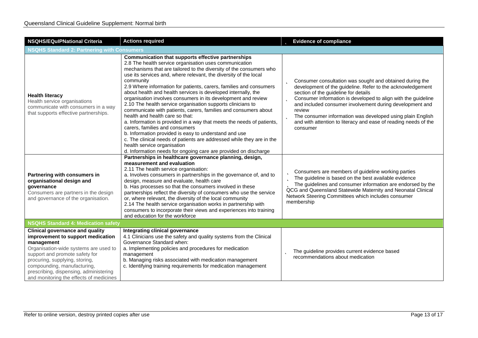| <b>NSQHS/EQulPNational Criteria</b><br><b>Actions required</b>                                                                                                                                                                                                                                                             |                                                                                                                                                                                                                                                                                                                                                                                                                                                                                                                                                                                                                                                                                                                                                                                                                                                                                                                                                                                                 | <b>b</b> Evidence of compliance                                                                                                                                                                                                                                                                                                                                                                                                                                           |  |  |
|----------------------------------------------------------------------------------------------------------------------------------------------------------------------------------------------------------------------------------------------------------------------------------------------------------------------------|-------------------------------------------------------------------------------------------------------------------------------------------------------------------------------------------------------------------------------------------------------------------------------------------------------------------------------------------------------------------------------------------------------------------------------------------------------------------------------------------------------------------------------------------------------------------------------------------------------------------------------------------------------------------------------------------------------------------------------------------------------------------------------------------------------------------------------------------------------------------------------------------------------------------------------------------------------------------------------------------------|---------------------------------------------------------------------------------------------------------------------------------------------------------------------------------------------------------------------------------------------------------------------------------------------------------------------------------------------------------------------------------------------------------------------------------------------------------------------------|--|--|
| <b>NSQHS Standard 2: Partnering with Consumers</b>                                                                                                                                                                                                                                                                         |                                                                                                                                                                                                                                                                                                                                                                                                                                                                                                                                                                                                                                                                                                                                                                                                                                                                                                                                                                                                 |                                                                                                                                                                                                                                                                                                                                                                                                                                                                           |  |  |
| <b>Health literacy</b><br>Health service organisations<br>communicate with consumers in a way<br>that supports effective partnerships.                                                                                                                                                                                     | Communication that supports effective partnerships<br>2.8 The health service organisation uses communication<br>mechanisms that are tailored to the diversity of the consumers who<br>use its services and, where relevant, the diversity of the local<br>community<br>2.9 Where information for patients, carers, families and consumers<br>about health and health services is developed internally, the<br>organisation involves consumers in its development and review<br>2.10 The health service organisation supports clinicians to<br>communicate with patients, carers, families and consumers about<br>health and health care so that:<br>a. Information is provided in a way that meets the needs of patients,<br>carers, families and consumers<br>b. Information provided is easy to understand and use<br>c. The clinical needs of patients are addressed while they are in the<br>health service organisation<br>d. Information needs for ongoing care are provided on discharge | <b>b</b> Consumer consultation was sought and obtained during the<br>development of the guideline. Refer to the acknowledgement<br>section of the guideline for details<br>Consumer information is developed to align with the guideline<br>þ<br>and included consumer involvement during development and<br>review<br><b>b</b> The consumer information was developed using plain English<br>and with attention to literacy and ease of reading needs of the<br>consumer |  |  |
| Partnering with consumers in<br>organisational design and<br>governance<br>Consumers are partners in the design<br>and governance of the organisation.                                                                                                                                                                     | Partnerships in healthcare governance planning, design,<br>measurement and evaluation<br>2.11 The health service organisation:<br>a. Involves consumers in partnerships in the governance of, and to<br>design, measure and evaluate, health care<br>b. Has processes so that the consumers involved in these<br>partnerships reflect the diversity of consumers who use the service<br>or, where relevant, the diversity of the local community<br>2.14 The health service organisation works in partnership with<br>consumers to incorporate their views and experiences into training<br>and education for the workforce                                                                                                                                                                                                                                                                                                                                                                     | <b>b</b> Consumers are members of guideline working parties<br>The guideline is based on the best available evidence<br>The guidelines and consumer information are endorsed by the<br>QCG and Queensland Statewide Maternity and Neonatal Clinical<br>Network Steering Committees which includes consumer<br>membership                                                                                                                                                  |  |  |
| <b>NSQHS Standard 4: Medication safety</b>                                                                                                                                                                                                                                                                                 |                                                                                                                                                                                                                                                                                                                                                                                                                                                                                                                                                                                                                                                                                                                                                                                                                                                                                                                                                                                                 |                                                                                                                                                                                                                                                                                                                                                                                                                                                                           |  |  |
| <b>Clinical governance and quality</b><br>improvement to support medication<br>management<br>Organisation-wide systems are used to<br>support and promote safety for<br>procuring, supplying, storing,<br>compounding, manufacturing,<br>prescribing, dispensing, administering<br>and monitoring the effects of medicines | Integrating clinical governance<br>4.1 Clinicians use the safety and quality systems from the Clinical<br>Governance Standard when:<br>a. Implementing policies and procedures for medication<br>management<br>b. Managing risks associated with medication management<br>c. Identifying training requirements for medication management                                                                                                                                                                                                                                                                                                                                                                                                                                                                                                                                                                                                                                                        | The guideline provides current evidence based<br>recommendations about medication                                                                                                                                                                                                                                                                                                                                                                                         |  |  |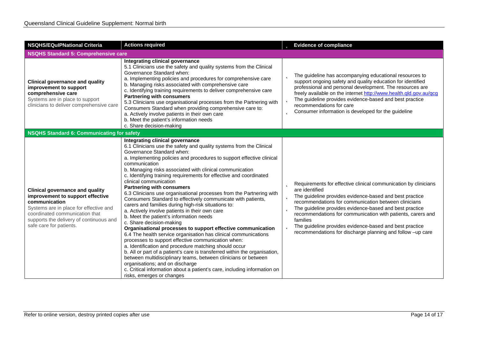| <b>NSQHS/EQuIPNational Criteria</b><br><b>Actions required</b>                                                                                                                                                                                |                                                                                                                                                                                                                                                                                                                                                                                                                                                                                                                                                                                                                                                                                                                                                                                                                                                                                                                                                                                                                                                                                                                                                                                                                                                                                                    |   | <b>b</b> Evidence of compliance                                                                                                                                                                                                                                                                                                                                                                                                                                                                |
|-----------------------------------------------------------------------------------------------------------------------------------------------------------------------------------------------------------------------------------------------|----------------------------------------------------------------------------------------------------------------------------------------------------------------------------------------------------------------------------------------------------------------------------------------------------------------------------------------------------------------------------------------------------------------------------------------------------------------------------------------------------------------------------------------------------------------------------------------------------------------------------------------------------------------------------------------------------------------------------------------------------------------------------------------------------------------------------------------------------------------------------------------------------------------------------------------------------------------------------------------------------------------------------------------------------------------------------------------------------------------------------------------------------------------------------------------------------------------------------------------------------------------------------------------------------|---|------------------------------------------------------------------------------------------------------------------------------------------------------------------------------------------------------------------------------------------------------------------------------------------------------------------------------------------------------------------------------------------------------------------------------------------------------------------------------------------------|
| <b>NSQHS Standard 5: Comprehensive care</b>                                                                                                                                                                                                   |                                                                                                                                                                                                                                                                                                                                                                                                                                                                                                                                                                                                                                                                                                                                                                                                                                                                                                                                                                                                                                                                                                                                                                                                                                                                                                    |   |                                                                                                                                                                                                                                                                                                                                                                                                                                                                                                |
| <b>Clinical governance and quality</b><br>improvement to support<br>comprehensive care<br>Systems are in place to support<br>clinicians to deliver comprehensive care                                                                         | Integrating clinical governance<br>5.1 Clinicians use the safety and quality systems from the Clinical<br>Governance Standard when:<br>a. Implementing policies and procedures for comprehensive care<br>b. Managing risks associated with comprehensive care<br>c. Identifying training requirements to deliver comprehensive care<br><b>Partnering with consumers</b><br>5.3 Clinicians use organisational processes from the Partnering with<br>Consumers Standard when providing comprehensive care to:<br>a. Actively involve patients in their own care<br>b. Meet the patient's information needs<br>c. Share decision-making                                                                                                                                                                                                                                                                                                                                                                                                                                                                                                                                                                                                                                                               |   | <b>b</b> The guideline has accompanying educational resources to<br>support ongoing safety and quality education for identified<br>professional and personal development. The resources are<br>freely available on the internet http://www.health.qld.gov.au/qcg<br><b>b</b> The guideline provides evidence-based and best practice<br>recommendations for care<br><b>b</b> Consumer information is developed for the guideline                                                               |
| <b>NSQHS Standard 6: Communicating for safety</b>                                                                                                                                                                                             |                                                                                                                                                                                                                                                                                                                                                                                                                                                                                                                                                                                                                                                                                                                                                                                                                                                                                                                                                                                                                                                                                                                                                                                                                                                                                                    |   |                                                                                                                                                                                                                                                                                                                                                                                                                                                                                                |
| <b>Clinical governance and quality</b><br>improvement to support effective<br>communication<br>Systems are in place for effective and<br>coordinated communication that<br>supports the delivery of continuous and<br>safe care for patients. | Integrating clinical governance<br>6.1 Clinicians use the safety and quality systems from the Clinical<br>Governance Standard when:<br>a. Implementing policies and procedures to support effective clinical<br>communication<br>b. Managing risks associated with clinical communication<br>c. Identifying training requirements for effective and coordinated<br>clinical communication<br><b>Partnering with consumers</b><br>6.3 Clinicians use organisational processes from the Partnering with<br>Consumers Standard to effectively communicate with patients,<br>carers and families during high-risk situations to:<br>a. Actively involve patients in their own care<br>b. Meet the patient's information needs<br>c. Share decision-making<br>Organisational processes to support effective communication<br>6.4 The health service organisation has clinical communications<br>processes to support effective communication when:<br>a. Identification and procedure matching should occur<br>b. All or part of a patient's care is transferred within the organisation,<br>between multidisciplinary teams, between clinicians or between<br>organisations; and on discharge<br>c. Critical information about a patient's care, including information on<br>risks, emerges or changes | Þ | <b>b</b> Requirements for effective clinical communication by clinicians<br>are identified<br><b>b</b> The guideline provides evidence-based and best practice<br>recommendations for communication between clinicians<br><b>b</b> The guideline provides evidence-based and best practice<br>recommendations for communication with patients, carers and<br>families<br>The guideline provides evidence-based and best practice<br>recommendations for discharge planning and follow -up care |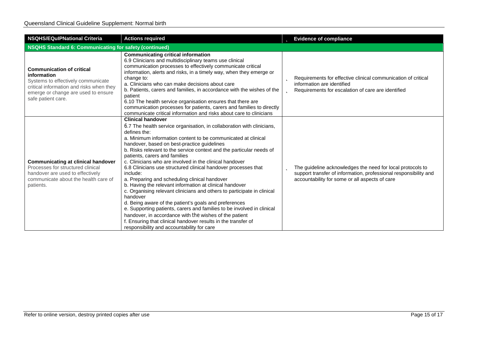| <b>NSQHS/EQulPNational Criteria</b>                                                                                                                                                            | <b>Actions required</b>                                                                                                                                                                                                                                                                                                                                                                                                                                                                                                                                                                                                                                                                                                                                                                                                                                                                                                                                                                             |   | <b>b</b> Evidence of compliance                                                                                                                                                  |
|------------------------------------------------------------------------------------------------------------------------------------------------------------------------------------------------|-----------------------------------------------------------------------------------------------------------------------------------------------------------------------------------------------------------------------------------------------------------------------------------------------------------------------------------------------------------------------------------------------------------------------------------------------------------------------------------------------------------------------------------------------------------------------------------------------------------------------------------------------------------------------------------------------------------------------------------------------------------------------------------------------------------------------------------------------------------------------------------------------------------------------------------------------------------------------------------------------------|---|----------------------------------------------------------------------------------------------------------------------------------------------------------------------------------|
| NSQHS Standard 6: Communicating for safety (continued)                                                                                                                                         |                                                                                                                                                                                                                                                                                                                                                                                                                                                                                                                                                                                                                                                                                                                                                                                                                                                                                                                                                                                                     |   |                                                                                                                                                                                  |
| <b>Communication of critical</b><br>information<br>Systems to effectively communicate<br>critical information and risks when they<br>emerge or change are used to ensure<br>safe patient care. | <b>Communicating critical information</b><br>6.9 Clinicians and multidisciplinary teams use clinical<br>communication processes to effectively communicate critical<br>information, alerts and risks, in a timely way, when they emerge or<br>change to:<br>a. Clinicians who can make decisions about care<br>b. Patients, carers and families, in accordance with the wishes of the<br>patient<br>6.10 The health service organisation ensures that there are<br>communication processes for patients, carers and families to directly<br>communicate critical information and risks about care to clinicians                                                                                                                                                                                                                                                                                                                                                                                     |   | <b>b</b> Requirements for effective clinical communication of critical<br>information are identified<br><b>b</b> Requirements for escalation of care are identified              |
| <b>Communicating at clinical handover</b><br>Processes for structured clinical<br>handover are used to effectively<br>communicate about the health care of<br>patients.                        | <b>Clinical handover</b><br>6.7 The health service organisation, in collaboration with clinicians,<br>defines the:<br>a. Minimum information content to be communicated at clinical<br>handover, based on best-practice guidelines<br>b. Risks relevant to the service context and the particular needs of<br>patients, carers and families<br>c. Clinicians who are involved in the clinical handover<br>6.8 Clinicians use structured clinical handover processes that<br>include:<br>a. Preparing and scheduling clinical handover<br>b. Having the relevant information at clinical handover<br>c. Organising relevant clinicians and others to participate in clinical<br>handover<br>d. Being aware of the patient's goals and preferences<br>e. Supporting patients, carers and families to be involved in clinical<br>handover, in accordance with the wishes of the patient<br>f. Ensuring that clinical handover results in the transfer of<br>responsibility and accountability for care | b | The guideline acknowledges the need for local protocols to<br>support transfer of information, professional responsibility and<br>accountability for some or all aspects of care |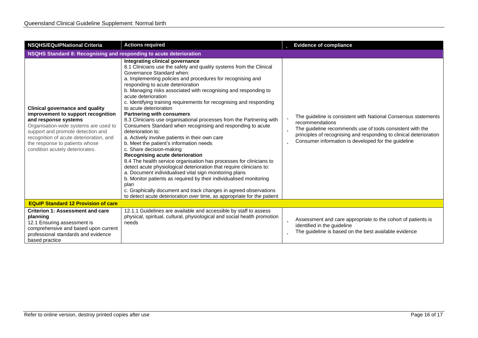| <b>NSQHS/EQulPNational Criteria</b>                                                                                                                                                                                                                                                                | <b>Actions required</b>                                                                                                                                                                                                                                                                                                                                                                                                                                                                                                                                                                                                                                                                                                                                                                                                                                                                                                                                                                                                                                                                                                                                                                                                              | <b>b</b> Evidence of compliance                                                                                                                                                                                                                                                       |  |  |
|----------------------------------------------------------------------------------------------------------------------------------------------------------------------------------------------------------------------------------------------------------------------------------------------------|--------------------------------------------------------------------------------------------------------------------------------------------------------------------------------------------------------------------------------------------------------------------------------------------------------------------------------------------------------------------------------------------------------------------------------------------------------------------------------------------------------------------------------------------------------------------------------------------------------------------------------------------------------------------------------------------------------------------------------------------------------------------------------------------------------------------------------------------------------------------------------------------------------------------------------------------------------------------------------------------------------------------------------------------------------------------------------------------------------------------------------------------------------------------------------------------------------------------------------------|---------------------------------------------------------------------------------------------------------------------------------------------------------------------------------------------------------------------------------------------------------------------------------------|--|--|
|                                                                                                                                                                                                                                                                                                    | NSQHS Standard 8: Recognising and responding to acute deterioration                                                                                                                                                                                                                                                                                                                                                                                                                                                                                                                                                                                                                                                                                                                                                                                                                                                                                                                                                                                                                                                                                                                                                                  |                                                                                                                                                                                                                                                                                       |  |  |
| <b>Clinical governance and quality</b><br>improvement to support recognition<br>and response systems<br>Organisation-wide systems are used to<br>support and promote detection and<br>recognition of acute deterioration, and<br>the response to patients whose<br>condition acutely deteriorates. | Integrating clinical governance<br>8.1 Clinicians use the safety and quality systems from the Clinical<br>Governance Standard when:<br>a. Implementing policies and procedures for recognising and<br>responding to acute deterioration<br>b. Managing risks associated with recognising and responding to<br>acute deterioration<br>c. Identifying training requirements for recognising and responding<br>to acute deterioration<br><b>Partnering with consumers</b><br>8.3 Clinicians use organisational processes from the Partnering with<br>Consumers Standard when recognising and responding to acute<br>deterioration to:<br>a. Actively involve patients in their own care<br>b. Meet the patient's information needs<br>c. Share decision-making<br>Recognising acute deterioration<br>8.4 The health service organisation has processes for clinicians to<br>detect acute physiological deterioration that require clinicians to:<br>a. Document individualised vital sign monitoring plans<br>b. Monitor patients as required by their individualised monitoring<br>plan<br>c. Graphically document and track changes in agreed observations<br>to detect acute deterioration over time, as appropriate for the patient | The guideline is consistent with National Consensus statements<br>recommendations<br>The guideline recommends use of tools consistent with the<br>Þ<br>principles of recognising and responding to clinical deterioration<br>Consumer information is developed for the guideline<br>Þ |  |  |
| <b>EQuIP Standard 12 Provision of care</b>                                                                                                                                                                                                                                                         |                                                                                                                                                                                                                                                                                                                                                                                                                                                                                                                                                                                                                                                                                                                                                                                                                                                                                                                                                                                                                                                                                                                                                                                                                                      |                                                                                                                                                                                                                                                                                       |  |  |
| <b>Criterion 1: Assessment and care</b><br>planning<br>12.1 Ensuring assessment is<br>comprehensive and based upon current<br>professional standards and evidence<br>based practice                                                                                                                | 12.1.1 Guidelines are available and accessible by staff to assess<br>physical, spiritual, cultural, physiological and social health promotion<br>needs                                                                                                                                                                                                                                                                                                                                                                                                                                                                                                                                                                                                                                                                                                                                                                                                                                                                                                                                                                                                                                                                               | Assessment and care appropriate to the cohort of patients is<br>Þ<br>identified in the quideline<br>The guideline is based on the best available evidence<br>b                                                                                                                        |  |  |